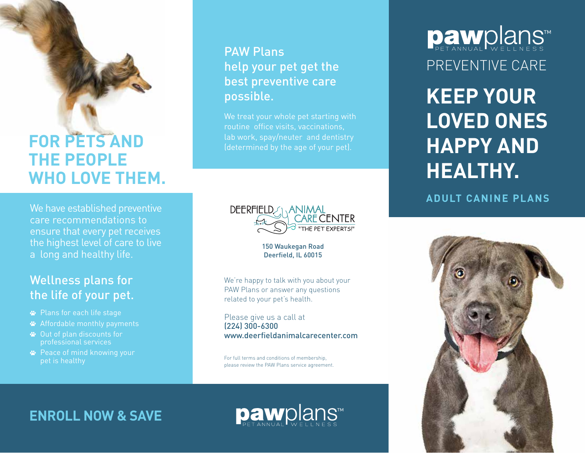# **FOR PETS AND THE PEOPLE WHO LOVE THEM.**

We have established preventive care recommendations to ensure that every pet receives the highest level of care to live a long and healthy life.

## Wellness plans for the life of your pet.

- Plans for each life stage
- Affordable monthly payments
- Out of plan discounts for professional services
- Peace of mind knowing your pet is healthy

## PAW Plans help your pet get the best preventive care possible.

We treat your whole pet starting with routine office visits, vaccinations, lab work, spay/neuter and dentistry (determined by the age of your pet).



150 Waukegan Road Deerfield, IL 60015

We're happy to talk with you about your PAW Plans or answer any questions related to your pet's health.

Please give us a call at (224) 300-6300 www.deerfieldanimalcarecenter.com

For full terms and conditions of membership, please review the PAW Plans service agreement. **Daw**plans™ PREVENTIVE CARE

**KEEP YOUR LOVED ONES HAPPY AND HEALTHY.**

**ADULT CANINE PLANS**



**ENROLL NOW & SAVE**